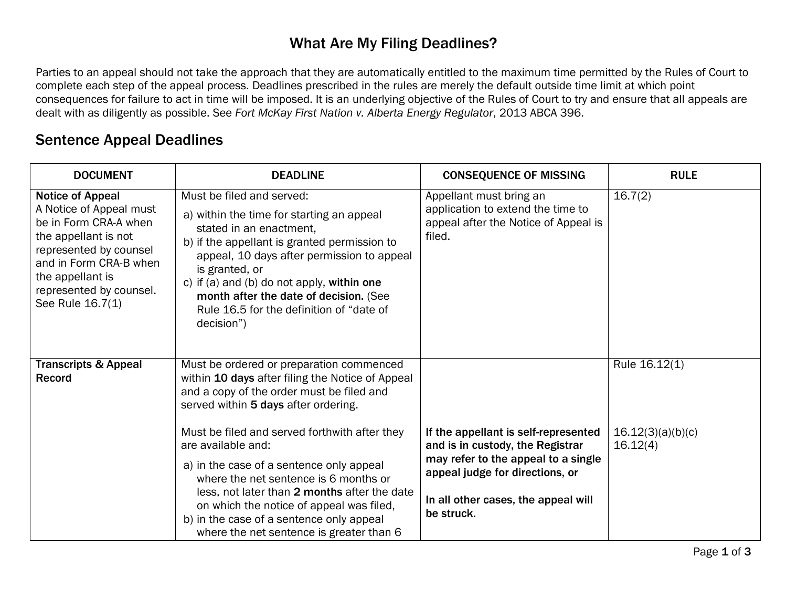## What Are My Filing Deadlines?

Parties to an appeal should not take the approach that they are automatically entitled to the maximum time permitted by the Rules of Court to complete each step of the appeal process. Deadlines prescribed in the rules are merely the default outside time limit at which point consequences for failure to act in time will be imposed. It is an underlying objective of the Rules of Court to try and ensure that all appeals are dealt with as diligently as possible. See *Fort McKay First Nation v. Alberta Energy Regulator*, 2013 ABCA 396.

## Sentence Appeal Deadlines

| <b>DOCUMENT</b>                                                                                                                                                                                                            | <b>DEADLINE</b>                                                                                                                                                                                                                                                                                                                                                     | <b>CONSEQUENCE OF MISSING</b>                                                                                   | <b>RULE</b>                                    |
|----------------------------------------------------------------------------------------------------------------------------------------------------------------------------------------------------------------------------|---------------------------------------------------------------------------------------------------------------------------------------------------------------------------------------------------------------------------------------------------------------------------------------------------------------------------------------------------------------------|-----------------------------------------------------------------------------------------------------------------|------------------------------------------------|
| <b>Notice of Appeal</b><br>A Notice of Appeal must<br>be in Form CRA-A when<br>the appellant is not<br>represented by counsel<br>and in Form CRA-B when<br>the appellant is<br>represented by counsel.<br>See Rule 16.7(1) | Must be filed and served:<br>a) within the time for starting an appeal<br>stated in an enactment,<br>b) if the appellant is granted permission to<br>appeal, 10 days after permission to appeal<br>is granted, or<br>c) if (a) and (b) do not apply, within one<br>month after the date of decision. (See<br>Rule 16.5 for the definition of "date of<br>decision") | Appellant must bring an<br>application to extend the time to<br>appeal after the Notice of Appeal is<br>filed.  | 16.7(2)                                        |
| <b>Transcripts &amp; Appeal</b><br><b>Record</b>                                                                                                                                                                           | Must be ordered or preparation commenced<br>within 10 days after filing the Notice of Appeal<br>and a copy of the order must be filed and<br>served within 5 days after ordering.<br>Must be filed and served forthwith after they<br>are available and:                                                                                                            | If the appellant is self-represented<br>and is in custody, the Registrar<br>may refer to the appeal to a single | Rule 16.12(1)<br>16.12(3)(a)(b)(c)<br>16.12(4) |
|                                                                                                                                                                                                                            | a) in the case of a sentence only appeal<br>where the net sentence is 6 months or<br>less, not later than 2 months after the date<br>on which the notice of appeal was filed,<br>b) in the case of a sentence only appeal<br>where the net sentence is greater than 6                                                                                               | appeal judge for directions, or<br>In all other cases, the appeal will<br>be struck.                            |                                                |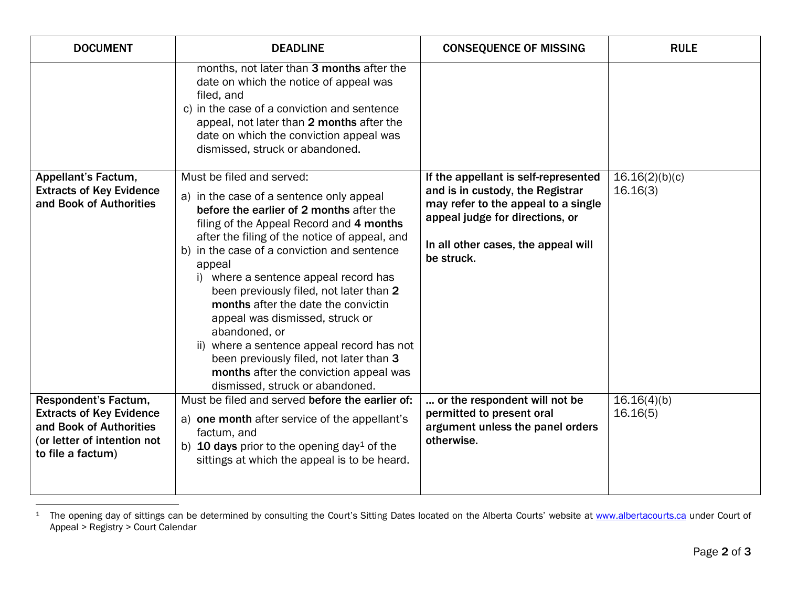<span id="page-1-0"></span>

| <b>DOCUMENT</b>                                                                                                                               | <b>DEADLINE</b>                                                                                                                                                                                                                                                                                                                                                                                                                                                                                                                                                                                                              | <b>CONSEQUENCE OF MISSING</b>                                                                                                                                                                           | <b>RULE</b>                |
|-----------------------------------------------------------------------------------------------------------------------------------------------|------------------------------------------------------------------------------------------------------------------------------------------------------------------------------------------------------------------------------------------------------------------------------------------------------------------------------------------------------------------------------------------------------------------------------------------------------------------------------------------------------------------------------------------------------------------------------------------------------------------------------|---------------------------------------------------------------------------------------------------------------------------------------------------------------------------------------------------------|----------------------------|
|                                                                                                                                               | months, not later than 3 months after the<br>date on which the notice of appeal was<br>filed, and<br>c) in the case of a conviction and sentence<br>appeal, not later than 2 months after the<br>date on which the conviction appeal was<br>dismissed, struck or abandoned.                                                                                                                                                                                                                                                                                                                                                  |                                                                                                                                                                                                         |                            |
| Appellant's Factum,<br><b>Extracts of Key Evidence</b><br>and Book of Authorities                                                             | Must be filed and served:<br>a) in the case of a sentence only appeal<br>before the earlier of 2 months after the<br>filing of the Appeal Record and 4 months<br>after the filing of the notice of appeal, and<br>b) in the case of a conviction and sentence<br>appeal<br>i) where a sentence appeal record has<br>been previously filed, not later than 2<br>months after the date the convictin<br>appeal was dismissed, struck or<br>abandoned, or<br>ii) where a sentence appeal record has not<br>been previously filed, not later than 3<br>months after the conviction appeal was<br>dismissed, struck or abandoned. | If the appellant is self-represented<br>and is in custody, the Registrar<br>may refer to the appeal to a single<br>appeal judge for directions, or<br>In all other cases, the appeal will<br>be struck. | 16.16(2)(b)(c)<br>16.16(3) |
| <b>Respondent's Factum,</b><br><b>Extracts of Key Evidence</b><br>and Book of Authorities<br>(or letter of intention not<br>to file a factum) | Must be filed and served before the earlier of:<br>a) one month after service of the appellant's<br>factum, and<br>b) <b>10 days</b> prior to the opening day <sup>1</sup> of the<br>sittings at which the appeal is to be heard.                                                                                                                                                                                                                                                                                                                                                                                            | or the respondent will not be<br>permitted to present oral<br>argument unless the panel orders<br>otherwise.                                                                                            | 16.16(4)(b)<br>16.16(5)    |

 $\overline{a}$ <sup>1</sup> The opening day of sittings can be determined by consulting the Court's Sitting Dates located on the Alberta Courts' website at <u>www.albertacourts.ca</u> under Court of Appeal > Registry > Court Calendar